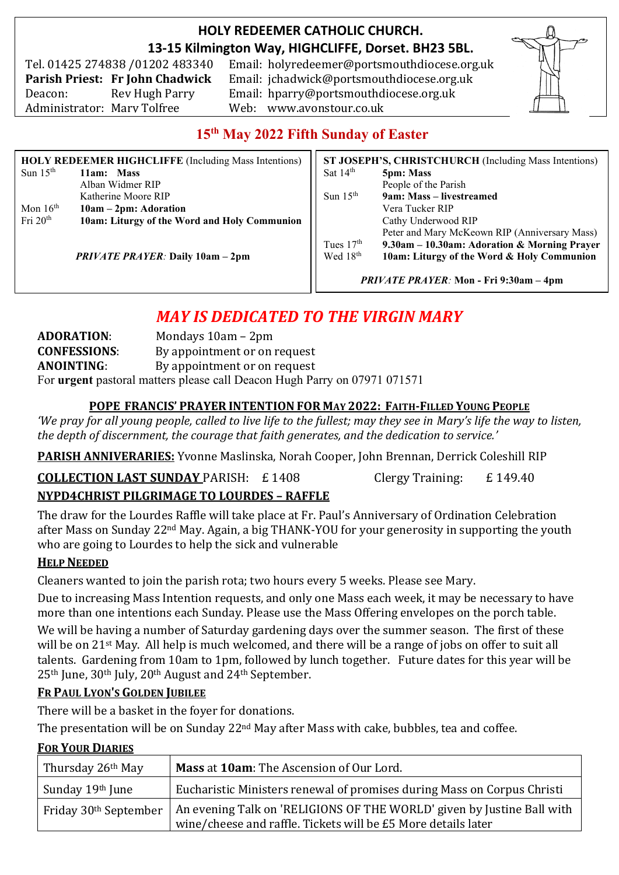# **HOLY REDEEMER CATHOLIC CHURCH. 13-15 Kilmington Way, HIGHCLIFFE, Dorset. BH23 5BL.**

Tel. 01425 274838 /01202 483340 Administrator: Mary Tolfree Web: www.avonstour.co.uk

Email: holyredeemer@portsmouthdiocese.org.uk **Parish Priest: Fr John Chadwick** Email: jchadwick@portsmouthdiocese.org.uk Deacon: Rev Hugh Parry Email: hparry@portsmouthdiocese.org.uk



# **15th May 2022 Fifth Sunday of Easter**

| <b>HOLY REDEEMER HIGHCLIFFE (Including Mass Intentions)</b> |                                              | ST JOSEPH'S, CHRISTCHURCH (Including Mass Intentions) |                                               |
|-------------------------------------------------------------|----------------------------------------------|-------------------------------------------------------|-----------------------------------------------|
| Sun $15th$                                                  | 11am: Mass                                   | Sat $14th$                                            | <b>5pm:</b> Mass                              |
|                                                             | Alban Widmer RIP                             |                                                       | People of the Parish                          |
|                                                             | Katherine Moore RIP                          | Sun $15th$                                            | 9am: Mass – livestreamed                      |
| Mon $16th$                                                  | $10am - 2pm$ : Adoration                     |                                                       | Vera Tucker RIP                               |
| Fri $20th$                                                  | 10am: Liturgy of the Word and Holy Communion |                                                       | Cathy Underwood RIP                           |
|                                                             |                                              |                                                       | Peter and Mary McKeown RIP (Anniversary Mass) |
|                                                             |                                              | Tues $17th$                                           | 9.30am – 10.30am: Adoration & Morning Prayer  |
|                                                             | <b>PRIVATE PRAYER: Daily 10am - 2pm</b>      | Wed 18 <sup>th</sup>                                  | 10am: Liturgy of the Word & Holy Communion    |
|                                                             |                                              | PRIVATE PRAYER: Mon - Fri 9:30am - 4pm                |                                               |

# *MAY IS DEDICATED TO THE VIRGIN MARY*

| <b>ADORATION:</b>   | Mondays $10am - 2pm$                                                      |
|---------------------|---------------------------------------------------------------------------|
| <b>CONFESSIONS:</b> | By appointment or on request                                              |
| <b>ANOINTING:</b>   | By appointment or on request                                              |
|                     | For urgent pastoral matters please call Deacon Hugh Parry on 07971 071571 |

## **POPE FRANCIS' PRAYER INTENTION FOR MAY 2022: FAITH-FILLED YOUNG PEOPLE**

*'We pray for all young people, called to live life to the fullest; may they see in Mary's life the way to listen, the depth of discernment, the courage that faith generates, and the dedication to service.'*

**PARISH ANNIVERARIES:** Yvonne Maslinska, Norah Cooper, John Brennan, Derrick Coleshill RIP

#### **COLLECTION LAST SUNDAY** PARISH: £ 1408 Clergy Training: £ 149.40 **NYPD4CHRIST PILGRIMAGE TO LOURDES – RAFFLE**

The draw for the Lourdes Raffle will take place at Fr. Paul's Anniversary of Ordination Celebration after Mass on Sunday 22nd May. Again, a big THANK-YOU for your generosity in supporting the youth who are going to Lourdes to help the sick and vulnerable

#### **HELP NEEDED**

Cleaners wanted to join the parish rota; two hours every 5 weeks. Please see Mary.

Due to increasing Mass Intention requests, and only one Mass each week, it may be necessary to have more than one intentions each Sunday. Please use the Mass Offering envelopes on the porch table.

We will be having a number of Saturday gardening days over the summer season. The first of these will be on 21st May. All help is much welcomed, and there will be a range of jobs on offer to suit all talents. Gardening from 10am to 1pm, followed by lunch together. Future dates for this year will be 25th June, 30th July, 20th August and 24th September.

## **FR PAUL LYON'S GOLDEN JUBILEE**

There will be a basket in the foyer for donations.

The presentation will be on Sunday 22<sup>nd</sup> May after Mass with cake, bubbles, tea and coffee.

#### **FOR YOUR DIARIES**

| Thursday 26 <sup>th</sup> May     | <b>Mass at 10am:</b> The Ascension of Our Lord.                                                                                         |
|-----------------------------------|-----------------------------------------------------------------------------------------------------------------------------------------|
| Sunday 19th June                  | Eucharistic Ministers renewal of promises during Mass on Corpus Christi                                                                 |
| Friday 30 <sup>th</sup> September | An evening Talk on 'RELIGIONS OF THE WORLD' given by Justine Ball with<br>wine/cheese and raffle. Tickets will be £5 More details later |